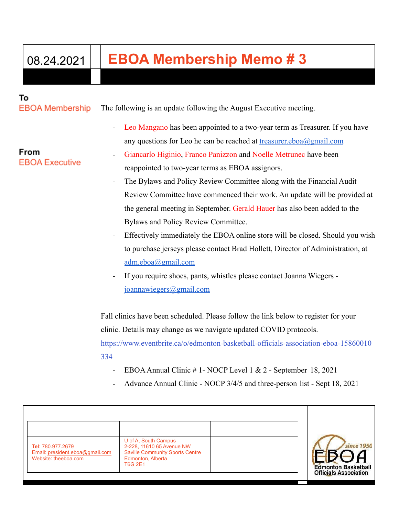# 08.24.2021 **EBOA Membership Memo # 3**

### То

From

**EBOA Membership** 

**EBOA Executive** 

The following is an update following the August Executive meeting.

- Leo Mangano has been appointed to a two-year term as Treasurer. If you have any questions for Leo he can be reached at  $t$ reasurer.eboa@gmail.com
- Giancarlo Higinio, Franco Panizzon and Noelle Metrunec have been reappointed to two-year terms as EBOA assignors.
- The Bylaws and Policy Review Committee along with the Financial Audit Review Committee have commenced their work. An update will be provided at the general meeting in September. Gerald Hauer has also been added to the Bylaws and Policy Review Committee.
- Effectively immediately the EBOA online store will be closed. Should you wish to purchase jerseys please contact Brad Hollett, Director of Administration, at [adm.eboa@gmail.com](mailto:adm.eboa@gmail.com)
- If you require shoes, pants, whistles please contact Joanna Wiegers [joannawiegers@gmail.com](mailto:joannawiegers@gmail.com)

Fall clinics have been scheduled. Please follow the link below to register for your clinic. Details may change as we navigate updated COVID protocols.

[https://www.eventbrite.ca/o/edmonton-basketball-officials-association-eboa-15860010](https://www.eventbrite.ca/o/edmonton-basketball-officials-association-eboa-15860010334) [334](https://www.eventbrite.ca/o/edmonton-basketball-officials-association-eboa-15860010334)

- EBOA Annual Clinic  $# 1$  NOCP Level 1 & 2 September 18, 2021
- Advance Annual Clinic NOCP 3/4/5 and three-person list Sept 18, 2021

| Tel: 780.977.2679<br>Email: president.eboa@gmail.com<br>Website: theeboa.com | U of A, South Campus<br>2-228, 11610 65 Avenue NW<br><b>Saville Community Sports Centre</b><br>Edmonton, Alberta<br><b>T6G 2E1</b> |  | since 1950<br><b>Edmonton Basketball</b><br><b>Officials Association</b> |
|------------------------------------------------------------------------------|------------------------------------------------------------------------------------------------------------------------------------|--|--------------------------------------------------------------------------|
|                                                                              |                                                                                                                                    |  |                                                                          |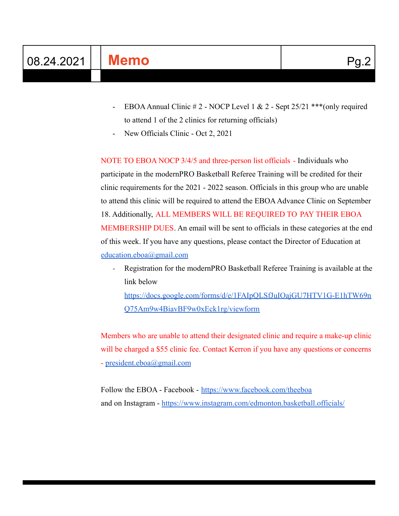## 08.24.2021 **Memo** Pg.2

- EBOA Annual Clinic  $\# 2$  NOCP Level 1 & 2 Sept 25/21 \*\*\* (only required to attend 1 of the 2 clinics for returning officials)
- New Officials Clinic Oct 2, 2021

NOTE TO EBOA NOCP 3/4/5 and three-person list officials - Individuals who participate in the modernPRO Basketball Referee Training will be credited for their clinic requirements for the 2021 - 2022 season. Officials in this group who are unable to attend this clinic will be required to attend the EBOAAdvance Clinic on September 18. Additionally, ALL MEMBERS WILL BE REQUIRED TO PAY THEIR EBOA MEMBERSHIP DUES. An email will be sent to officials in these categories at the end of this week. If you have any questions, please contact the Director of Education at [education.eboa@gmail.com](mailto:education.eboa@gmail.com)

Registration for the modernPRO Basketball Referee Training is available at the link below

[https://docs.google.com/forms/d/e/1FAIpQLSfJuIOajGU7HTV1G-E1hTW69n](https://docs.google.com/forms/d/e/1FAIpQLSfJuIOajGU7HTV1G-E1hTW69nQ75Am9w4BiavBF9w0xEck1rg/viewform) [Q75Am9w4BiavBF9w0xEck1rg/viewform](https://docs.google.com/forms/d/e/1FAIpQLSfJuIOajGU7HTV1G-E1hTW69nQ75Am9w4BiavBF9w0xEck1rg/viewform)

Members who are unable to attend their designated clinic and require a make-up clinic will be charged a \$55 clinic fee. Contact Kerron if you have any questions or concerns - [president.eboa@gmail.com](mailto:president.eboa@gmail.com)

Follow the EBOA - Facebook - <https://www.facebook.com/theeboa> and on Instagram - <https://www.instagram.com/edmonton.basketball.officials/>